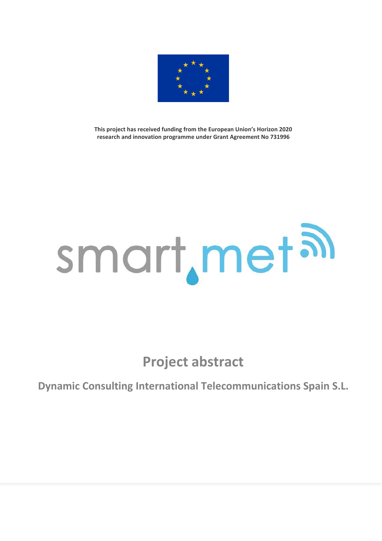

**This project has received funding from the European Union's Horizon 2020 research and innovation programme under Grant Agreement No 731996**

## smart, met al

**Project abstract**

**Dynamic Consulting International Telecommunications Spain S.L.**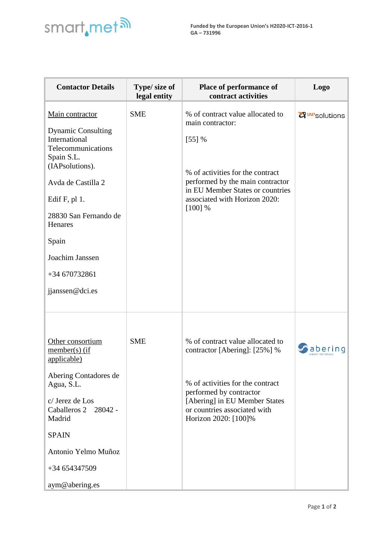## smart, met<sup>a</sup>

| <b>Contactor Details</b>                                                                                                                                                                                                                                           | Type/ size of<br>legal entity | Place of performance of<br>contract activities                                                                                                                                                                             | Logo                              |
|--------------------------------------------------------------------------------------------------------------------------------------------------------------------------------------------------------------------------------------------------------------------|-------------------------------|----------------------------------------------------------------------------------------------------------------------------------------------------------------------------------------------------------------------------|-----------------------------------|
| Main contractor<br><b>Dynamic Consulting</b><br>International<br>Telecommunications<br>Spain S.L.<br>(IAPsolutions).<br>Avda de Castilla 2<br>Edif $F$ , pl 1.<br>28830 San Fernando de<br>Henares<br>Spain<br>Joachim Janssen<br>+34 670732861<br>jjanssen@dci.es | <b>SME</b>                    | % of contract value allocated to<br>main contractor:<br>$[55]$ %<br>% of activities for the contract<br>performed by the main contractor<br>in EU Member States or countries<br>associated with Horizon 2020:<br>$[100]$ % | <b>Z</b> <sup>IAP</sup> solutions |
| Other consortium<br>$member(s)$ (if<br>applicable)<br>Abering Contadores de<br>Agua, S.L.<br>c/ Jerez de Los<br>Caballeros 2 28042 -<br>Madrid<br><b>SPAIN</b><br>Antonio Yelmo Muñoz<br>+34 654347509<br>aym@abering.es                                           | <b>SME</b>                    | % of contract value allocated to<br>contractor [Abering]: [25%] %<br>% of activities for the contract<br>performed by contractor<br>[Abering] in EU Member States<br>or countries associated with<br>Horizon 2020: [100]%  | abering                           |